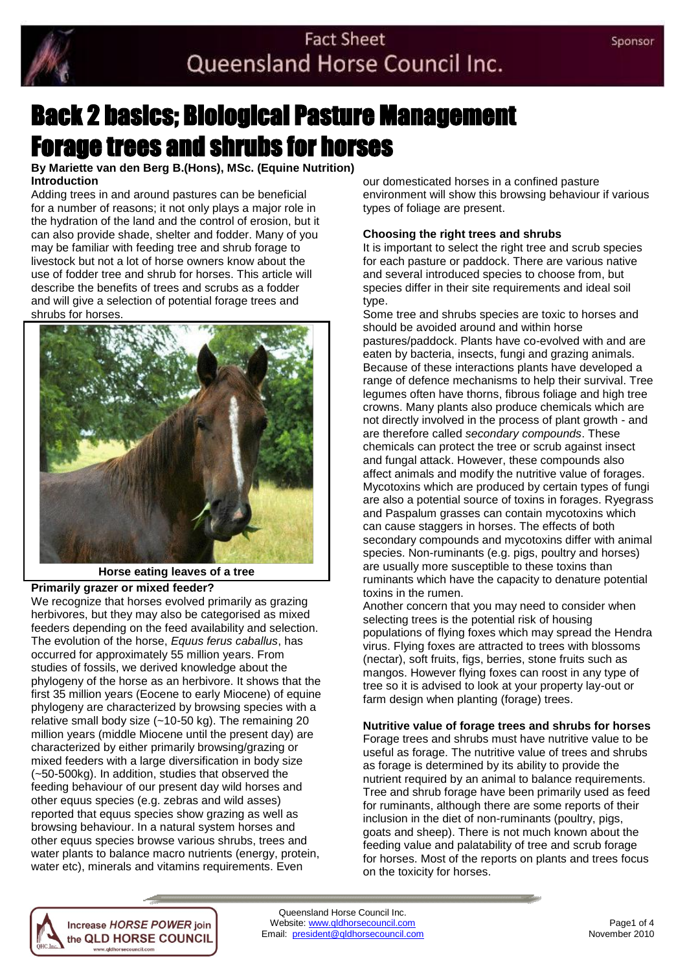

# Back 2 basics; Biological Pasture Management Forage trees and shrubs for horses

**By Mariette van den Berg B.(Hons), MSc. (Equine Nutrition) Introduction** 

Adding trees in and around pastures can be beneficial for a number of reasons; it not only plays a major role in the hydration of the land and the control of erosion, but it can also provide shade, shelter and fodder. Many of you may be familiar with feeding tree and shrub forage to livestock but not a lot of horse owners know about the use of fodder tree and shrub for horses. This article will describe the benefits of trees and scrubs as a fodder and will give a selection of potential forage trees and shrubs for horses.



**Horse eating leaves of a tree**

## **Primarily grazer or mixed feeder?**

We recognize that horses evolved primarily as grazing herbivores, but they may also be categorised as mixed feeders depending on the feed availability and selection. The evolution of the horse, *Equus ferus caballus*, has occurred for approximately 55 million years. From studies of fossils, we derived knowledge about the phylogeny of the horse as an herbivore. It shows that the first 35 million years (Eocene to early Miocene) of equine phylogeny are characterized by browsing species with a relative small body size (~10-50 kg). The remaining 20 million years (middle Miocene until the present day) are characterized by either primarily browsing/grazing or mixed feeders with a large diversification in body size (~50-500kg). In addition, studies that observed the feeding behaviour of our present day wild horses and other equus species (e.g. zebras and wild asses) reported that equus species show grazing as well as browsing behaviour. In a natural system horses and other equus species browse various shrubs, trees and water plants to balance macro nutrients (energy, protein, water etc), minerals and vitamins requirements. Even

> Increase HORSE POWER join the QLD HORSE COUNCIL www.qldhorsecouncil.com

our domesticated horses in a confined pasture environment will show this browsing behaviour if various types of foliage are present.

## **Choosing the right trees and shrubs**

It is important to select the right tree and scrub species for each pasture or paddock. There are various native and several introduced species to choose from, but species differ in their site requirements and ideal soil type.

Some tree and shrubs species are toxic to horses and should be avoided around and within horse pastures/paddock. Plants have co-evolved with and are eaten by bacteria, insects, fungi and grazing animals. Because of these interactions plants have developed a range of defence mechanisms to help their survival. Tree legumes often have thorns, fibrous foliage and high tree crowns. Many plants also produce chemicals which are not directly involved in the process of plant growth - and are therefore called *secondary compounds*. These chemicals can protect the tree or scrub against insect and fungal attack. However, these compounds also affect animals and modify the nutritive value of forages. Mycotoxins which are produced by certain types of fungi are also a potential source of toxins in forages. Ryegrass and Paspalum grasses can contain mycotoxins which can cause staggers in horses. The effects of both secondary compounds and mycotoxins differ with animal species. Non-ruminants (e.g. pigs, poultry and horses) are usually more susceptible to these toxins than ruminants which have the capacity to denature potential toxins in the rumen.

Another concern that you may need to consider when selecting trees is the potential risk of housing populations of flying foxes which may spread the Hendra virus. Flying foxes are attracted to trees with blossoms (nectar), soft fruits, figs, berries, stone fruits such as mangos. However flying foxes can roost in any type of tree so it is advised to look at your property lay-out or farm design when planting (forage) trees.

## **Nutritive value of forage trees and shrubs for horses**

Forage trees and shrubs must have nutritive value to be useful as forage. The nutritive value of trees and shrubs as forage is determined by its ability to provide the nutrient required by an animal to balance requirements. Tree and shrub forage have been primarily used as feed for ruminants, although there are some reports of their inclusion in the diet of non-ruminants (poultry, pigs, goats and sheep). There is not much known about the feeding value and palatability of tree and scrub forage for horses. Most of the reports on plants and trees focus on the toxicity for horses.

Queensland Horse Council Inc. Website: www.qldhorsecouncil.com example and the page of 4<br>
mail: president@qldhorsecouncil.com example and the November 2010 Email: president@qldhorsecouncil.com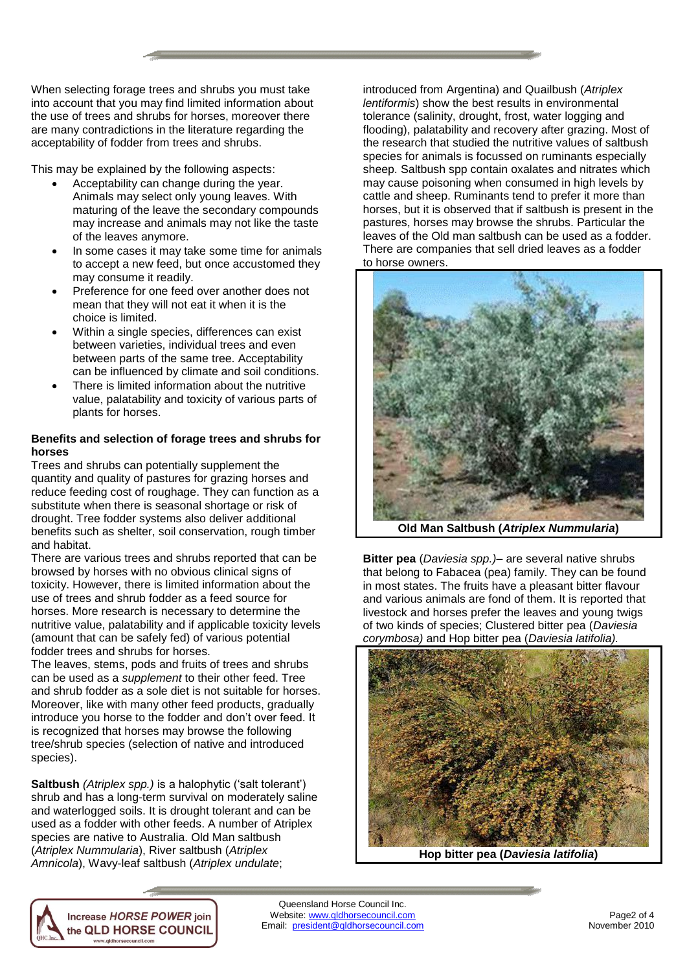When selecting forage trees and shrubs you must take into account that you may find limited information about the use of trees and shrubs for horses, moreover there are many contradictions in the literature regarding the acceptability of fodder from trees and shrubs.

This may be explained by the following aspects:

- Acceptability can change during the year. Animals may select only young leaves. With maturing of the leave the secondary compounds may increase and animals may not like the taste of the leaves anymore.
- In some cases it may take some time for animals to accept a new feed, but once accustomed they may consume it readily.
- Preference for one feed over another does not mean that they will not eat it when it is the choice is limited.
- Within a single species, differences can exist between varieties, individual trees and even between parts of the same tree. Acceptability can be influenced by climate and soil conditions.
- There is limited information about the nutritive value, palatability and toxicity of various parts of plants for horses.

#### **Benefits and selection of forage trees and shrubs for horses**

Trees and shrubs can potentially supplement the quantity and quality of pastures for grazing horses and reduce feeding cost of roughage. They can function as a substitute when there is seasonal shortage or risk of drought. Tree fodder systems also deliver additional benefits such as shelter, soil conservation, rough timber and habitat.

There are various trees and shrubs reported that can be browsed by horses with no obvious clinical signs of toxicity. However, there is limited information about the use of trees and shrub fodder as a feed source for horses. More research is necessary to determine the nutritive value, palatability and if applicable toxicity levels (amount that can be safely fed) of various potential fodder trees and shrubs for horses.

The leaves, stems, pods and fruits of trees and shrubs can be used as a *supplement* to their other feed. Tree and shrub fodder as a sole diet is not suitable for horses. Moreover, like with many other feed products, gradually introduce you horse to the fodder and don't over feed. It is recognized that horses may browse the following tree/shrub species (selection of native and introduced species).

**Saltbush** *(Atriplex spp.)* is a halophytic ('salt tolerant') shrub and has a long-term survival on moderately saline and waterlogged soils. It is drought tolerant and can be used as a fodder with other feeds. A number of Atriplex species are native to Australia. Old Man saltbush (*Atriplex Nummularia*), River saltbush (*Atriplex Amnicola*), Wavy-leaf saltbush (*Atriplex undulate*;

> Increase HORSE POWER join the QLD HORSE COUNCIL www.qldhorsecouncil.com

introduced from Argentina) and Quailbush (*Atriplex lentiformis*) show the best results in environmental tolerance (salinity, drought, frost, water logging and flooding), palatability and recovery after grazing. Most of the research that studied the nutritive values of saltbush species for animals is focussed on ruminants especially sheep. Saltbush spp contain oxalates and nitrates which may cause poisoning when consumed in high levels by cattle and sheep. Ruminants tend to prefer it more than horses, but it is observed that if saltbush is present in the pastures, horses may browse the shrubs. Particular the leaves of the Old man saltbush can be used as a fodder. There are companies that sell dried leaves as a fodder to horse owners.



**Old Man Saltbush (***Atriplex Nummularia***)**

**Bitter pea** (*Daviesia spp.)–* are several native shrubs that belong to Fabacea (pea) family. They can be found in most states. The fruits have a pleasant bitter flavour and various animals are fond of them. It is reported that livestock and horses prefer the leaves and young twigs of two kinds of species; Clustered bitter pea (*Daviesia corymbosa)* and Hop bitter pea (*Daviesia latifolia).*



**Hop bitter pea (***Daviesia latifolia***)**

Queensland Horse Council Inc. Website: www.qldhorsecouncil.com Page2 of 4<br>mail: president@gldhorsecouncil.com Page2 of 4 Email: president@qldhorsecouncil.com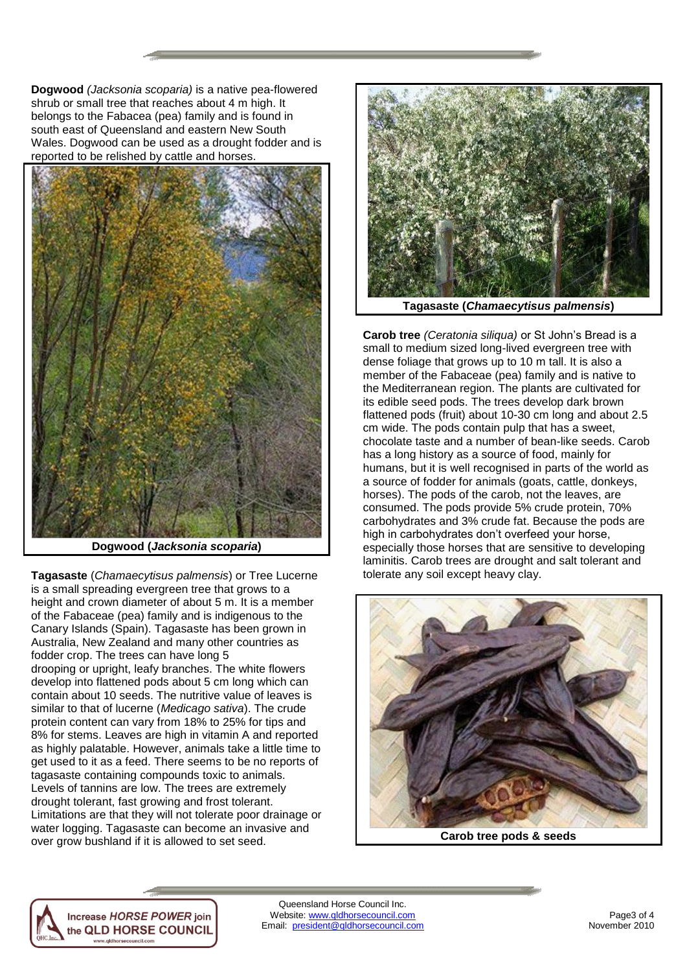**Dogwood** *(Jacksonia scoparia)* is a native pea-flowered shrub or small tree that reaches about 4 m high. It belongs to the Fabacea (pea) family and is found in south east of Queensland and eastern New South Wales. Dogwood can be used as a drought fodder and is reported to be relished by cattle and horses.



**Dogwood (***Jacksonia scoparia***)**

**Tagasaste** (*Chamaecytisus palmensis*) or Tree Lucerne is a small spreading evergreen tree that grows to a height and crown diameter of about 5 m. It is a member of the Fabaceae (pea) family and is indigenous to the Canary Islands (Spain). Tagasaste has been grown in Australia, New Zealand and many other countries as fodder crop. The trees can have long 5 drooping or upright, leafy branches. The white flowers develop into flattened pods about 5 cm long which can contain about 10 seeds. The nutritive value of leaves is similar to that of lucerne (*Medicago sativa*). The crude protein content can vary from 18% to 25% for tips and 8% for stems. Leaves are high in vitamin A and reported as highly palatable. However, animals take a little time to get used to it as a feed. There seems to be no reports of tagasaste containing compounds toxic to animals. Levels of tannins are low. The trees are extremely drought tolerant, fast growing and frost tolerant. Limitations are that they will not tolerate poor drainage or water logging. Tagasaste can become an invasive and over grow bushland if it is allowed to set seed.



**Tagasaste (***Chamaecytisus palmensis***)**

**Carob tree** *(Ceratonia siliqua)* or St John's Bread is a small to medium sized long-lived evergreen tree with dense foliage that grows up to 10 m tall. It is also a member of the Fabaceae (pea) family and is native to the Mediterranean region. The plants are cultivated for its edible seed pods. The trees develop dark brown flattened pods (fruit) about 10-30 cm long and about 2.5 cm wide. The pods contain pulp that has a sweet, chocolate taste and a number of bean-like seeds. Carob has a long history as a source of food, mainly for humans, but it is well recognised in parts of the world as a source of fodder for animals (goats, cattle, donkeys, horses). The pods of the carob, not the leaves, are consumed. The pods provide 5% crude protein, 70% carbohydrates and 3% crude fat. Because the pods are high in carbohydrates don't overfeed your horse, especially those horses that are sensitive to developing laminitis. Carob trees are drought and salt tolerant and tolerate any soil except heavy clay.



**Carob tree pods & seeds**

Increase HORSE POWER join the QLD HORSE COUNCIL www.qldhorsecouncil.com